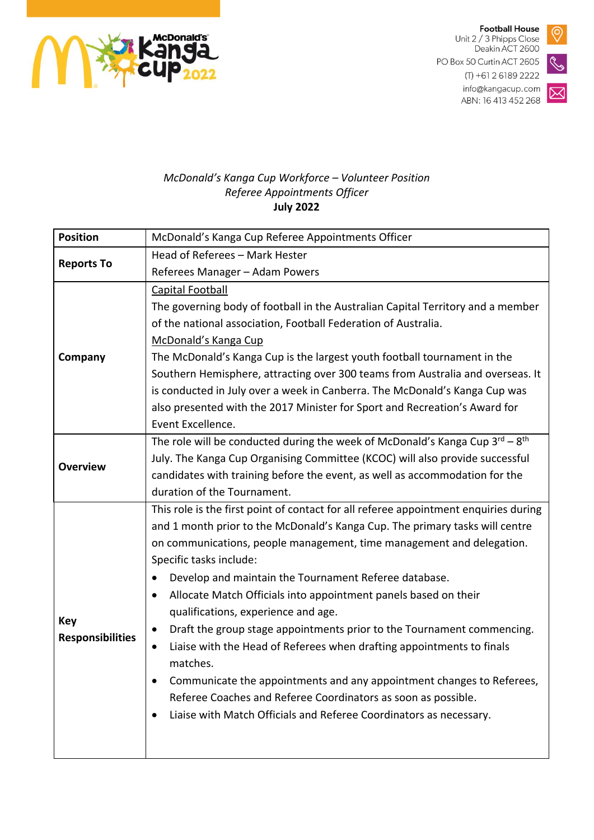

**Football House**<br>Unit 2 / 3 Phipps Close

Deakin ACT 2600 PO Box 50 Curtin ACT 2605



 $(T) + 61261892222$ info@kangacup.com ABN: 16 413 452 268



## *McDonald's Kanga Cup Workforce – Volunteer Position Referee Appointments Officer* **July 2022**

| <b>Position</b>                | McDonald's Kanga Cup Referee Appointments Officer                                    |
|--------------------------------|--------------------------------------------------------------------------------------|
| <b>Reports To</b>              | Head of Referees - Mark Hester                                                       |
|                                | Referees Manager - Adam Powers                                                       |
| Company                        | <b>Capital Football</b>                                                              |
|                                | The governing body of football in the Australian Capital Territory and a member      |
|                                | of the national association, Football Federation of Australia.                       |
|                                | McDonald's Kanga Cup                                                                 |
|                                | The McDonald's Kanga Cup is the largest youth football tournament in the             |
|                                | Southern Hemisphere, attracting over 300 teams from Australia and overseas. It       |
|                                | is conducted in July over a week in Canberra. The McDonald's Kanga Cup was           |
|                                | also presented with the 2017 Minister for Sport and Recreation's Award for           |
|                                | Event Excellence.                                                                    |
| <b>Overview</b>                | The role will be conducted during the week of McDonald's Kanga Cup $3^{rd} - 8^{th}$ |
|                                | July. The Kanga Cup Organising Committee (KCOC) will also provide successful         |
|                                | candidates with training before the event, as well as accommodation for the          |
|                                | duration of the Tournament.                                                          |
| Key<br><b>Responsibilities</b> | This role is the first point of contact for all referee appointment enquiries during |
|                                | and 1 month prior to the McDonald's Kanga Cup. The primary tasks will centre         |
|                                | on communications, people management, time management and delegation.                |
|                                | Specific tasks include:                                                              |
|                                | Develop and maintain the Tournament Referee database.                                |
|                                | Allocate Match Officials into appointment panels based on their<br>٠                 |
|                                | qualifications, experience and age.                                                  |
|                                | Draft the group stage appointments prior to the Tournament commencing.               |
|                                | Liaise with the Head of Referees when drafting appointments to finals<br>٠           |
|                                | matches.                                                                             |
|                                | Communicate the appointments and any appointment changes to Referees,                |
|                                | Referee Coaches and Referee Coordinators as soon as possible.                        |
|                                | Liaise with Match Officials and Referee Coordinators as necessary.                   |
|                                |                                                                                      |
|                                |                                                                                      |